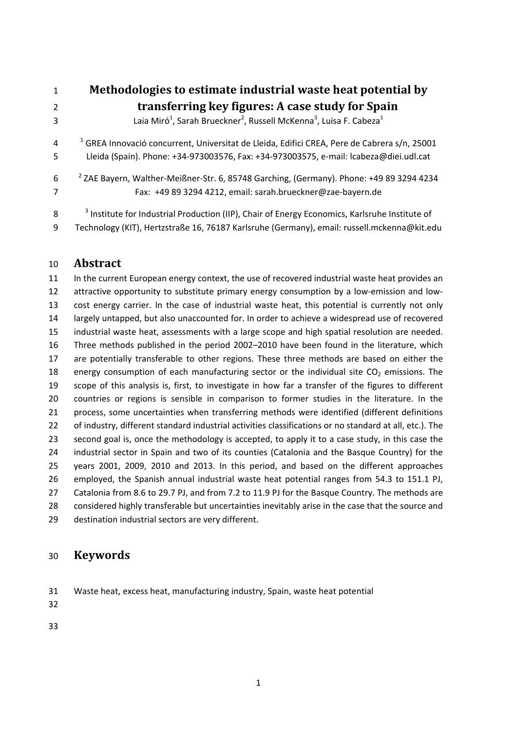**Methodologies to estimate industrial waste heat potential by transferring key figures: A case study for Spain 120 Laia Miró<sup>1</sup>, Sarah Brueckner<sup>2</sup>, Russell McKenna<sup>3</sup>, Luisa F. Cabeza<sup>1</sup>** <sup>1</sup> GREA Innovació concurrent, Universitat de Lleida, Edifici CREA, Pere de Cabrera s/n, 25001 Lleida (Spain). Phone: +34‐973003576, Fax: +34‐973003575, e‐mail: lcabeza@diei.udl.cat

<sup>2</sup> ZAE Bayern, Walther‐Meißner‐Str. 6, 85748 Garching, (Germany). Phone: +49 89 3294 4234 Fax: +49 89 3294 4212, email: sarah.brueckner@zae‐bayern.de

8 <sup>3</sup> Institute for Industrial Production (IIP), Chair of Energy Economics, Karlsruhe Institute of Technology (KIT), Hertzstraße 16, 76187 Karlsruhe (Germany), email: russell.mckenna@kit.edu

#### **Abstract**

 In the current European energy context, the use of recovered industrial waste heat provides an 12 attractive opportunity to substitute primary energy consumption by a low-emission and low- cost energy carrier. In the case of industrial waste heat, this potential is currently not only largely untapped, but also unaccounted for. In order to achieve a widespread use of recovered industrial waste heat, assessments with a large scope and high spatial resolution are needed. Three methods published in the period 2002–2010 have been found in the literature, which are potentially transferable to other regions. These three methods are based on either the 18 energy consumption of each manufacturing sector or the individual site  $CO<sub>2</sub>$  emissions. The scope of this analysis is, first, to investigate in how far a transfer of the figures to different countries or regions is sensible in comparison to former studies in the literature. In the process, some uncertainties when transferring methods were identified (different definitions of industry, different standard industrial activities classifications or no standard at all, etc.). The second goal is, once the methodology is accepted, to apply it to a case study, in this case the industrial sector in Spain and two of its counties (Catalonia and the Basque Country) for the years 2001, 2009, 2010 and 2013. In this period, and based on the different approaches employed, the Spanish annual industrial waste heat potential ranges from 54.3 to 151.1 PJ, Catalonia from 8.6 to 29.7 PJ, and from 7.2 to 11.9 PJ for the Basque Country. The methods are considered highly transferable but uncertainties inevitably arise in the case that the source and destination industrial sectors are very different.

## **Keywords**

Waste heat, excess heat, manufacturing industry, Spain, waste heat potential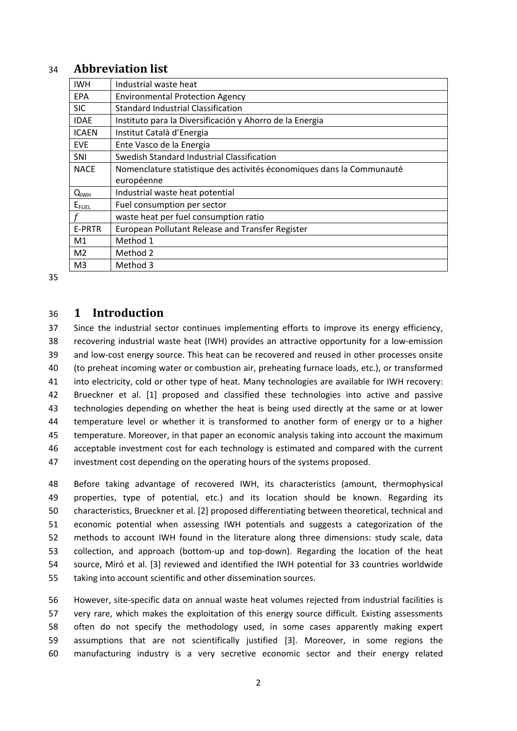#### 34 **Abbreviation** list

| <b>IWH</b>     | Industrial waste heat                                                 |
|----------------|-----------------------------------------------------------------------|
| EPA            | <b>Environmental Protection Agency</b>                                |
| <b>SIC</b>     | <b>Standard Industrial Classification</b>                             |
| <b>IDAE</b>    | Instituto para la Diversificación y Ahorro de la Energia              |
| <b>ICAEN</b>   | Institut Català d'Energia                                             |
| <b>EVE</b>     | Ente Vasco de la Energia                                              |
| <b>SNI</b>     | Swedish Standard Industrial Classification                            |
| <b>NACE</b>    | Nomenclature statistique des activités économiques dans la Communauté |
|                | européenne                                                            |
| $Q_{IWH}$      | Industrial waste heat potential                                       |
| $E_{FUEL}$     | Fuel consumption per sector                                           |
|                | waste heat per fuel consumption ratio                                 |
| E-PRTR         | European Pollutant Release and Transfer Register                      |
| M <sub>1</sub> | Method 1                                                              |
| M <sub>2</sub> | Method 2                                                              |
| M <sub>3</sub> | Method 3                                                              |

35

#### 36 **1 Introduction**

 Since the industrial sector continues implementing efforts to improve its energy efficiency, 38 recovering industrial waste heat (IWH) provides an attractive opportunity for a low-emission 39 and low-cost energy source. This heat can be recovered and reused in other processes onsite (to preheat incoming water or combustion air, preheating furnace loads, etc.), or transformed into electricity, cold or other type of heat. Many technologies are available for IWH recovery: Brueckner et al. [1] proposed and classified these technologies into active and passive technologies depending on whether the heat is being used directly at the same or at lower temperature level or whether it is transformed to another form of energy or to a higher temperature. Moreover, in that paper an economic analysis taking into account the maximum acceptable investment cost for each technology is estimated and compared with the current investment cost depending on the operating hours of the systems proposed.

 Before taking advantage of recovered IWH, its characteristics (amount, thermophysical properties, type of potential, etc.) and its location should be known. Regarding its characteristics, Brueckner et al. [2] proposed differentiating between theoretical, technical and economic potential when assessing IWH potentials and suggests a categorization of the methods to account IWH found in the literature along three dimensions: study scale, data 53 collection, and approach (bottom-up and top-down). Regarding the location of the heat source, Miró et al. [3] reviewed and identified the IWH potential for 33 countries worldwide taking into account scientific and other dissemination sources.

56 However, site-specific data on annual waste heat volumes rejected from industrial facilities is very rare, which makes the exploitation of this energy source difficult. Existing assessments often do not specify the methodology used, in some cases apparently making expert assumptions that are not scientifically justified [3]. Moreover, in some regions the manufacturing industry is a very secretive economic sector and their energy related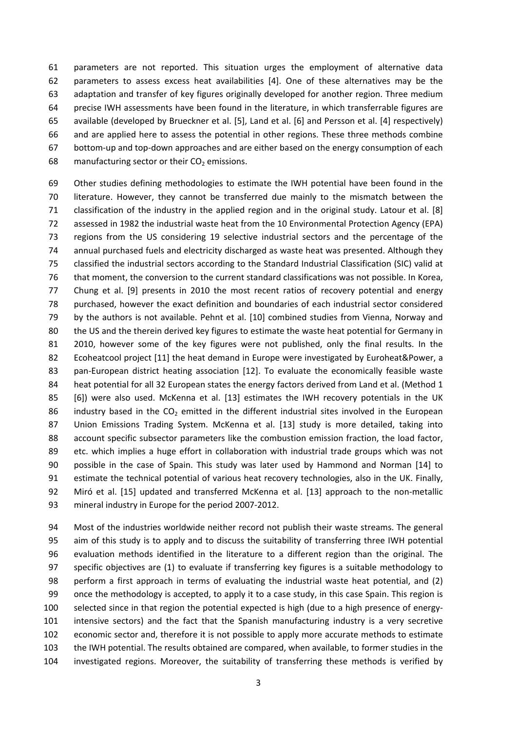parameters are not reported. This situation urges the employment of alternative data parameters to assess excess heat availabilities [4]. One of these alternatives may be the adaptation and transfer of key figures originally developed for another region. Three medium precise IWH assessments have been found in the literature, in which transferrable figures are available (developed by Brueckner et al. [5], Land et al. [6] and Persson et al. [4] respectively) and are applied here to assess the potential in other regions. These three methods combine bottom‐up and top‐down approaches and are either based on the energy consumption of each 68 manufacturing sector or their  $CO<sub>2</sub>$  emissions.

 Other studies defining methodologies to estimate the IWH potential have been found in the literature. However, they cannot be transferred due mainly to the mismatch between the classification of the industry in the applied region and in the original study. Latour et al. [8] assessed in 1982 the industrial waste heat from the 10 Environmental Protection Agency (EPA) regions from the US considering 19 selective industrial sectors and the percentage of the annual purchased fuels and electricity discharged as waste heat was presented. Although they classified the industrial sectors according to the Standard Industrial Classification (SIC) valid at that moment, the conversion to the current standard classifications was not possible. In Korea, Chung et al. [9] presents in 2010 the most recent ratios of recovery potential and energy purchased, however the exact definition and boundaries of each industrial sector considered by the authors is not available. Pehnt et al. [10] combined studies from Vienna, Norway and the US and the therein derived key figures to estimate the waste heat potential for Germany in 2010, however some of the key figures were not published, only the final results. In the Ecoheatcool project [11] the heat demand in Europe were investigated by Euroheat&Power, a 83 pan-European district heating association [12]. To evaluate the economically feasible waste 84 heat potential for all 32 European states the energy factors derived from Land et al. (Method 1 [6]) were also used. McKenna et al. [13] estimates the IWH recovery potentials in the UK 86 industry based in the  $CO<sub>2</sub>$  emitted in the different industrial sites involved in the European Union Emissions Trading System. McKenna et al. [13] study is more detailed, taking into account specific subsector parameters like the combustion emission fraction, the load factor, etc. which implies a huge effort in collaboration with industrial trade groups which was not possible in the case of Spain. This study was later used by Hammond and Norman [14] to estimate the technical potential of various heat recovery technologies, also in the UK. Finally, 92 Miró et al. [15] updated and transferred McKenna et al. [13] approach to the non-metallic 93 mineral industry in Europe for the period 2007-2012.

 Most of the industries worldwide neither record not publish their waste streams. The general aim of this study is to apply and to discuss the suitability of transferring three IWH potential evaluation methods identified in the literature to a different region than the original. The specific objectives are (1) to evaluate if transferring key figures is a suitable methodology to perform a first approach in terms of evaluating the industrial waste heat potential, and (2) once the methodology is accepted, to apply it to a case study, in this case Spain. This region is 100 selected since in that region the potential expected is high (due to a high presence of energy- intensive sectors) and the fact that the Spanish manufacturing industry is a very secretive economic sector and, therefore it is not possible to apply more accurate methods to estimate the IWH potential. The results obtained are compared, when available, to former studies in the investigated regions. Moreover, the suitability of transferring these methods is verified by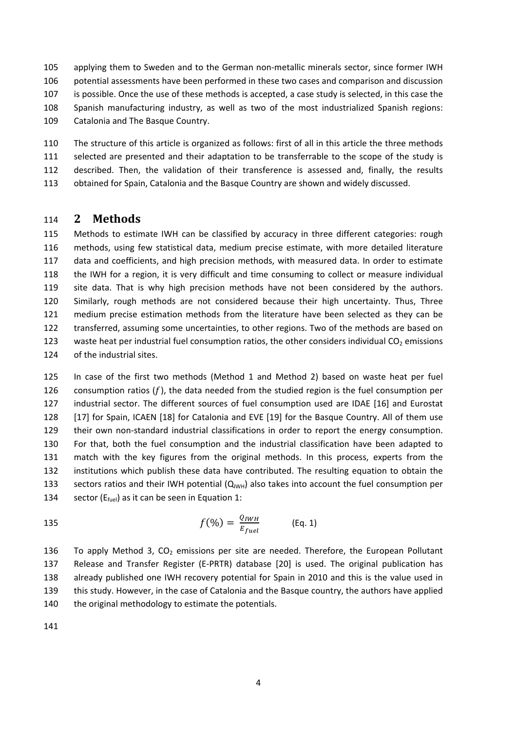105 applying them to Sweden and to the German non-metallic minerals sector, since former IWH potential assessments have been performed in these two cases and comparison and discussion is possible. Once the use of these methods is accepted, a case study is selected, in this case the Spanish manufacturing industry, as well as two of the most industrialized Spanish regions: Catalonia and The Basque Country.

 The structure of this article is organized as follows: first of all in this article the three methods selected are presented and their adaptation to be transferrable to the scope of the study is described. Then, the validation of their transference is assessed and, finally, the results obtained for Spain, Catalonia and the Basque Country are shown and widely discussed.

#### **2 Methods**

 Methods to estimate IWH can be classified by accuracy in three different categories: rough methods, using few statistical data, medium precise estimate, with more detailed literature data and coefficients, and high precision methods, with measured data. In order to estimate the IWH for a region, it is very difficult and time consuming to collect or measure individual site data. That is why high precision methods have not been considered by the authors. Similarly, rough methods are not considered because their high uncertainty. Thus, Three medium precise estimation methods from the literature have been selected as they can be transferred, assuming some uncertainties, to other regions. Two of the methods are based on 123 waste heat per industrial fuel consumption ratios, the other considers individual  $CO<sub>2</sub>$  emissions of the industrial sites.

 In case of the first two methods (Method 1 and Method 2) based on waste heat per fuel 126 consumption ratios  $(f)$ , the data needed from the studied region is the fuel consumption per industrial sector. The different sources of fuel consumption used are IDAE [16] and Eurostat 128 [17] for Spain, ICAEN [18] for Catalonia and EVE [19] for the Basque Country. All of them use 129 their own non-standard industrial classifications in order to report the energy consumption. For that, both the fuel consumption and the industrial classification have been adapted to match with the key figures from the original methods. In this process, experts from the institutions which publish these data have contributed. The resulting equation to obtain the 133 sectors ratios and their IWH potential  $(Q_{IWH})$  also takes into account the fuel consumption per 134 sector ( $E_{fuel}$ ) as it can be seen in Equation 1:

$$
f(\%) = \frac{Q_{IWH}}{E_{fuel}} \qquad \qquad \text{(Eq. 1)}
$$

136 To apply Method 3,  $CO<sub>2</sub>$  emissions per site are needed. Therefore, the European Pollutant Release and Transfer Register (E‐PRTR) database [20] is used. The original publication has already published one IWH recovery potential for Spain in 2010 and this is the value used in this study. However, in the case of Catalonia and the Basque country, the authors have applied 140 the original methodology to estimate the potentials.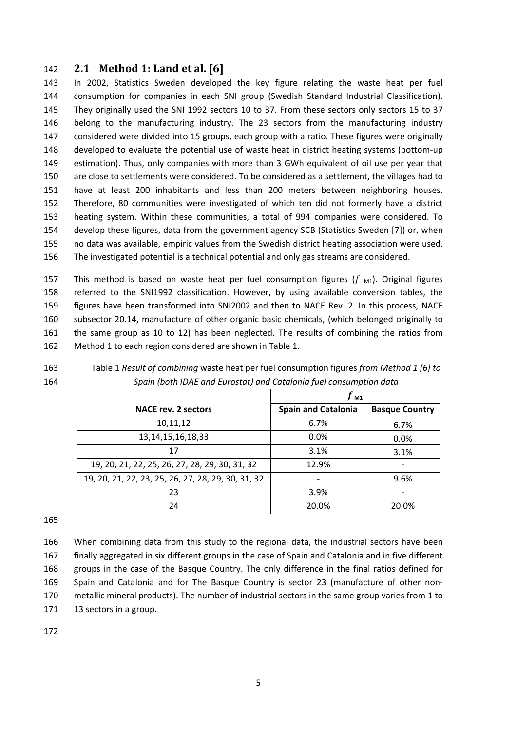#### **2.1 Method 1: Land et al. [6]**

 In 2002, Statistics Sweden developed the key figure relating the waste heat per fuel consumption for companies in each SNI group (Swedish Standard Industrial Classification). They originally used the SNI 1992 sectors 10 to 37. From these sectors only sectors 15 to 37 belong to the manufacturing industry. The 23 sectors from the manufacturing industry considered were divided into 15 groups, each group with a ratio. These figures were originally developed to evaluate the potential use of waste heat in district heating systems (bottom‐up estimation). Thus, only companies with more than 3 GWh equivalent of oil use per year that are close to settlements were considered. To be considered as a settlement, the villages had to have at least 200 inhabitants and less than 200 meters between neighboring houses. Therefore, 80 communities were investigated of which ten did not formerly have a district heating system. Within these communities, a total of 994 companies were considered. To develop these figures, data from the government agency SCB (Statistics Sweden [7]) or, when no data was available, empiric values from the Swedish district heating association were used. The investigated potential is a technical potential and only gas streams are considered.

157 This method is based on waste heat per fuel consumption figures ( $f_{\text{M1}}$ ). Original figures referred to the SNI1992 classification. However, by using available conversion tables, the figures have been transformed into SNI2002 and then to NACE Rev. 2. In this process, NACE subsector 20.14, manufacture of other organic basic chemicals, (which belonged originally to the same group as 10 to 12) has been neglected. The results of combining the ratios from Method 1 to each region considered are shown in Table 1.

 Table 1 *Result of combining* waste heat per fuel consumption figures *from Method 1 [6] to Spain (both IDAE and Eurostat) and Catalonia fuel consumption data*

|                                                    | Г м1                       |                       |
|----------------------------------------------------|----------------------------|-----------------------|
| <b>NACE rev. 2 sectors</b>                         | <b>Spain and Catalonia</b> | <b>Basque Country</b> |
| 10,11,12                                           | 6.7%                       | 6.7%                  |
| 13, 14, 15, 16, 18, 33                             | 0.0%                       | 0.0%                  |
| 17                                                 | 3.1%                       | 3.1%                  |
| 19, 20, 21, 22, 25, 26, 27, 28, 29, 30, 31, 32     | 12.9%                      |                       |
| 19, 20, 21, 22, 23, 25, 26, 27, 28, 29, 30, 31, 32 |                            | 9.6%                  |
| 23                                                 | 3.9%                       |                       |
| 24                                                 | 20.0%                      | 20.0%                 |

 When combining data from this study to the regional data, the industrial sectors have been finally aggregated in six different groups in the case of Spain and Catalonia and in five different groups in the case of the Basque Country. The only difference in the final ratios defined for Spain and Catalonia and for The Basque Country is sector 23 (manufacture of other non‐ metallic mineral products). The number of industrial sectors in the same group varies from 1 to 171 13 sectors in a group.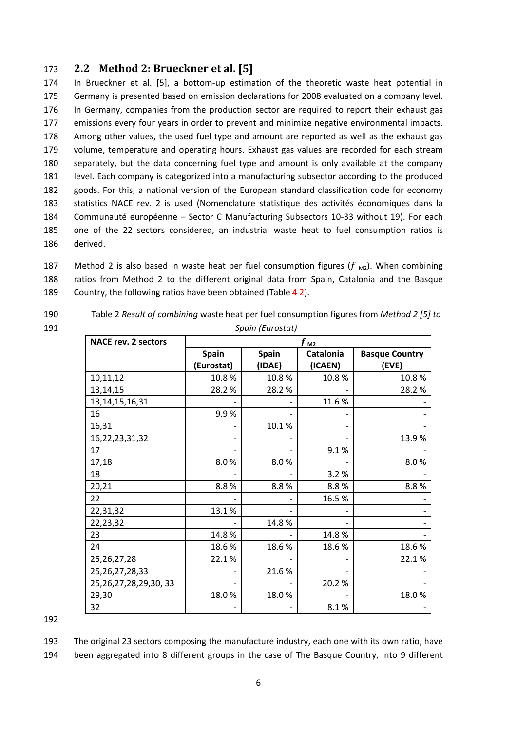### 173 **2.2 Method 2: Brueckner et al. [5]**

174 In Brueckner et al. [5], a bottom-up estimation of the theoretic waste heat potential in Germany is presented based on emission declarations for 2008 evaluated on a company level. In Germany, companies from the production sector are required to report their exhaust gas emissions every four years in order to prevent and minimize negative environmental impacts. Among other values, the used fuel type and amount are reported as well as the exhaust gas volume, temperature and operating hours. Exhaust gas values are recorded for each stream separately, but the data concerning fuel type and amount is only available at the company level. Each company is categorized into a manufacturing subsector according to the produced goods. For this, a national version of the European standard classification code for economy statistics NACE rev. 2 is used (Nomenclature statistique des activités économiques dans la Communauté européenne – Sector C Manufacturing Subsectors 10‐33 without 19). For each one of the 22 sectors considered, an industrial waste heat to fuel consumption ratios is 186 derived.

187 Method 2 is also based in waste heat per fuel consumption figures ( $f_{\text{M2}}$ ). When combining 188 ratios from Method 2 to the different original data from Spain, Catalonia and the Basque 189 Country, the following ratios have been obtained (Table 4 2).

190 Table 2 *Result of combining* waste heat per fuel consumption figures from *Method 2 [5] to* 191 *Spain (Eurostat)*

| <b>NACE rev. 2 sectors</b> | M <sub>2</sub>               |              |                  |                       |  |
|----------------------------|------------------------------|--------------|------------------|-----------------------|--|
|                            | <b>Spain</b>                 | <b>Spain</b> | <b>Catalonia</b> | <b>Basque Country</b> |  |
|                            | (Eurostat)                   | (IDAE)       | (ICAEN)          | (EVE)                 |  |
| 10,11,12                   | 10.8%                        | 10.8%        | 10.8%            | 10.8%                 |  |
| 13,14,15                   | 28.2 %                       | 28.2%        |                  | 28.2%                 |  |
| 13, 14, 15, 16, 31         |                              |              | 11.6%            |                       |  |
| 16                         | 9.9%                         |              |                  |                       |  |
| 16,31                      |                              | 10.1%        |                  |                       |  |
| 16, 22, 23, 31, 32         |                              |              |                  | 13.9%                 |  |
| 17                         |                              |              | 9.1%             |                       |  |
| 17,18                      | 8.0%                         | 8.0%         |                  | 8.0%                  |  |
| 18                         |                              |              | 3.2%             |                       |  |
| 20,21                      | 8.8%                         | 8.8%         | 8.8%             | 8.8%                  |  |
| 22                         |                              |              | 16.5%            |                       |  |
| 22,31,32                   | 13.1%                        |              |                  |                       |  |
| 22,23,32                   |                              | 14.8%        |                  |                       |  |
| 23                         | 14.8%                        |              | 14.8%            |                       |  |
| 24                         | 18.6%                        | 18.6%        | 18.6%            | 18.6%                 |  |
| 25, 26, 27, 28             | 22.1%                        |              |                  | 22.1%                 |  |
| 25, 26, 27, 28, 33         |                              | 21.6%        |                  |                       |  |
| 25, 26, 27, 28, 29, 30, 33 | $\qquad \qquad \blacksquare$ |              | 20.2%            |                       |  |
| 29,30                      | 18.0%                        | 18.0%        |                  | 18.0%                 |  |
| 32                         |                              |              | 8.1%             |                       |  |

192

193 The original 23 sectors composing the manufacture industry, each one with its own ratio, have 194 been aggregated into 8 different groups in the case of The Basque Country, into 9 different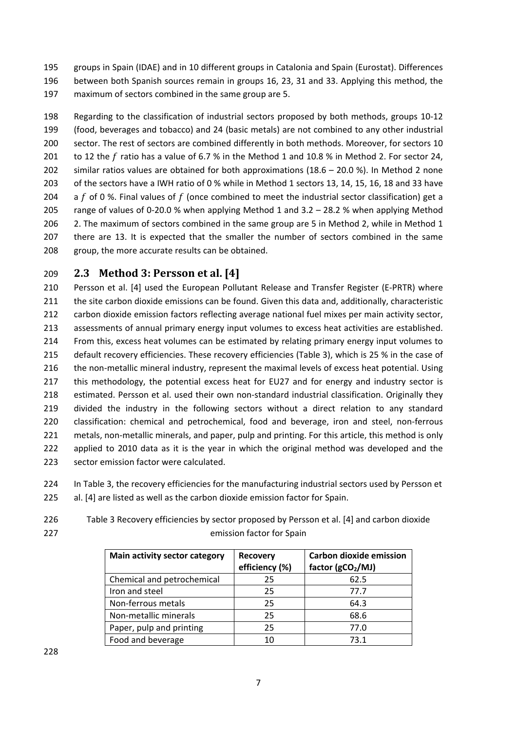195 groups in Spain (IDAE) and in 10 different groups in Catalonia and Spain (Eurostat). Differences 196 between both Spanish sources remain in groups 16, 23, 31 and 33. Applying this method, the 197 maximum of sectors combined in the same group are 5.

 Regarding to the classification of industrial sectors proposed by both methods, groups 10‐12 (food, beverages and tobacco) and 24 (basic metals) are not combined to any other industrial sector. The rest of sectors are combined differently in both methods. Moreover, for sectors 10 201 to 12 the f ratio has a value of 6.7 % in the Method 1 and 10.8 % in Method 2. For sector 24, similar ratios values are obtained for both approximations (18.6 – 20.0 %). In Method 2 none of the sectors have a IWH ratio of 0 % while in Method 1 sectors 13, 14, 15, 16, 18 and 33 have 204 a  $f$  of 0 %. Final values of  $f$  (once combined to meet the industrial sector classification) get a 205 range of values of 0-20.0 % when applying Method 1 and 3.2 – 28.2 % when applying Method 206 2. The maximum of sectors combined in the same group are 5 in Method 2, while in Method 1 there are 13. It is expected that the smaller the number of sectors combined in the same group, the more accurate results can be obtained.

## 209 **2.3 Method 3: Persson et al. [4]**

210 Persson et al. [4] used the European Pollutant Release and Transfer Register (E-PRTR) where 211 the site carbon dioxide emissions can be found. Given this data and, additionally, characteristic 212 carbon dioxide emission factors reflecting average national fuel mixes per main activity sector, 213 assessments of annual primary energy input volumes to excess heat activities are established. 214 From this, excess heat volumes can be estimated by relating primary energy input volumes to 215 default recovery efficiencies. These recovery efficiencies (Table 3), which is 25 % in the case of 216 the non-metallic mineral industry, represent the maximal levels of excess heat potential. Using 217 this methodology, the potential excess heat for EU27 and for energy and industry sector is 218 estimated. Persson et al. used their own non-standard industrial classification. Originally they 219 divided the industry in the following sectors without a direct relation to any standard 220 classification: chemical and petrochemical, food and beverage, iron and steel, non-ferrous 221 metals, non-metallic minerals, and paper, pulp and printing. For this article, this method is only 222 applied to 2010 data as it is the year in which the original method was developed and the 223 sector emission factor were calculated.

- 224 In Table 3, the recovery efficiencies for the manufacturing industrial sectors used by Persson et 225 al. [4] are listed as well as the carbon dioxide emission factor for Spain.
- 226 Table 3 Recovery efficiencies by sector proposed by Persson et al. [4] and carbon dioxide 227 emission factor for Spain

| Main activity sector category | <b>Recovery</b><br>efficiency (%) | <b>Carbon dioxide emission</b><br>factor (gCO <sub>2</sub> /MJ) |
|-------------------------------|-----------------------------------|-----------------------------------------------------------------|
| Chemical and petrochemical    | 25                                | 62.5                                                            |
| Iron and steel                | 25                                | 77.7                                                            |
| Non-ferrous metals            | 25                                | 64.3                                                            |
| Non-metallic minerals         | 25                                | 68.6                                                            |
| Paper, pulp and printing      | 25                                | 77.0                                                            |
| Food and beverage             | 10                                | 73.1                                                            |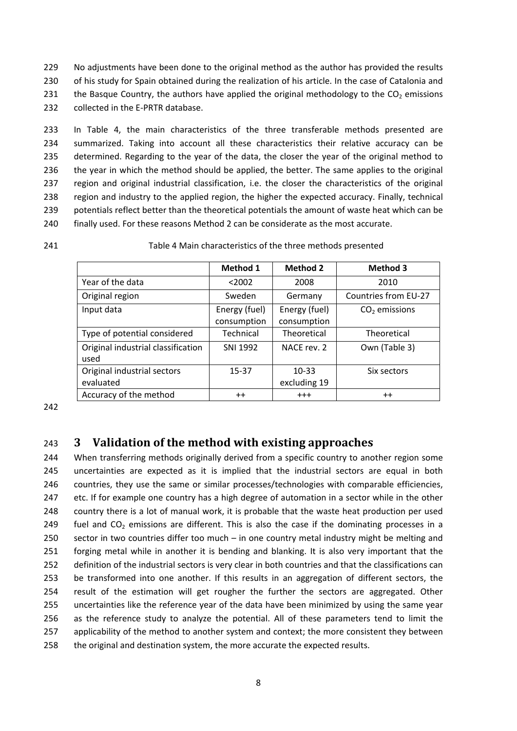229 No adjustments have been done to the original method as the author has provided the results 230 of his study for Spain obtained during the realization of his article. In the case of Catalonia and 231 the Basque Country, the authors have applied the original methodology to the  $CO<sub>2</sub>$  emissions 232 collected in the E-PRTR database.

 In Table 4, the main characteristics of the three transferable methods presented are summarized. Taking into account all these characteristics their relative accuracy can be determined. Regarding to the year of the data, the closer the year of the original method to the year in which the method should be applied, the better. The same applies to the original region and original industrial classification, i.e. the closer the characteristics of the original region and industry to the applied region, the higher the expected accuracy. Finally, technical potentials reflect better than the theoretical potentials the amount of waste heat which can be finally used. For these reasons Method 2 can be considerate as the most accurate.

241 Table 4 Main characteristics of the three methods presented

|                                            | Method 1                     | <b>Method 2</b>              | <b>Method 3</b>      |
|--------------------------------------------|------------------------------|------------------------------|----------------------|
| Year of the data                           | < 2002                       | 2008                         | 2010                 |
| Original region                            | Sweden                       | Germany                      | Countries from EU-27 |
| Input data                                 | Energy (fuel)<br>consumption | Energy (fuel)<br>consumption | $CO2$ emissions      |
| Type of potential considered               | Technical                    | <b>Theoretical</b>           | Theoretical          |
| Original industrial classification<br>used | SNI 1992                     | NACF rev. 2                  | Own (Table 3)        |
| Original industrial sectors<br>evaluated   | 15-37                        | $10 - 33$<br>excluding 19    | Six sectors          |
| Accuracy of the method                     | $++$                         | $^{+++}$                     | $++$                 |

242

## 243 **3 Validation of the method with existing approaches**

 When transferring methods originally derived from a specific country to another region some uncertainties are expected as it is implied that the industrial sectors are equal in both countries, they use the same or similar processes/technologies with comparable efficiencies, 247 etc. If for example one country has a high degree of automation in a sector while in the other country there is a lot of manual work, it is probable that the waste heat production per used 249 fuel and  $CO<sub>2</sub>$  emissions are different. This is also the case if the dominating processes in a sector in two countries differ too much – in one country metal industry might be melting and forging metal while in another it is bending and blanking. It is also very important that the definition of the industrial sectors is very clear in both countries and that the classifications can be transformed into one another. If this results in an aggregation of different sectors, the result of the estimation will get rougher the further the sectors are aggregated. Other uncertainties like the reference year of the data have been minimized by using the same year as the reference study to analyze the potential. All of these parameters tend to limit the applicability of the method to another system and context; the more consistent they between the original and destination system, the more accurate the expected results.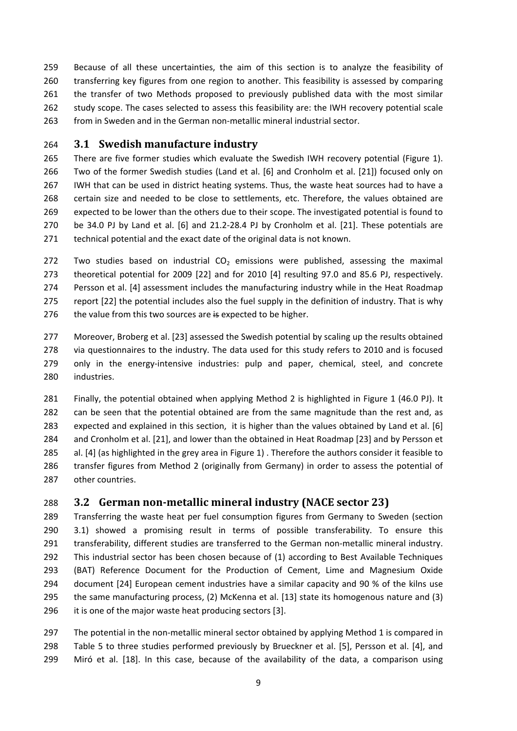Because of all these uncertainties, the aim of this section is to analyze the feasibility of transferring key figures from one region to another. This feasibility is assessed by comparing the transfer of two Methods proposed to previously published data with the most similar 262 study scope. The cases selected to assess this feasibility are: the IWH recovery potential scale 263 from in Sweden and in the German non-metallic mineral industrial sector.

## **3.1 Swedish manufacture industry**

 There are five former studies which evaluate the Swedish IWH recovery potential (Figure 1). Two of the former Swedish studies (Land et al. [6] and Cronholm et al. [21]) focused only on IWH that can be used in district heating systems. Thus, the waste heat sources had to have a certain size and needed to be close to settlements, etc. Therefore, the values obtained are expected to be lower than the others due to their scope. The investigated potential is found to be 34.0 PJ by Land et al. [6] and 21.2‐28.4 PJ by Cronholm et al. [21]. These potentials are technical potential and the exact date of the original data is not known.

272 Two studies based on industrial  $CO<sub>2</sub>$  emissions were published, assessing the maximal theoretical potential for 2009 [22] and for 2010 [4] resulting 97.0 and 85.6 PJ, respectively. Persson et al. [4] assessment includes the manufacturing industry while in the Heat Roadmap report [22] the potential includes also the fuel supply in the definition of industry. That is why 276 the value from this two sources are is expected to be higher.

277 Moreover, Broberg et al. [23] assessed the Swedish potential by scaling up the results obtained via questionnaires to the industry. The data used for this study refers to 2010 and is focused 279 only in the energy-intensive industries: pulp and paper, chemical, steel, and concrete industries.

 Finally, the potential obtained when applying Method 2 is highlighted in Figure 1 (46.0 PJ). It 282 can be seen that the potential obtained are from the same magnitude than the rest and, as expected and explained in this section, it is higher than the values obtained by Land et al. [6] and Cronholm et al. [21], and lower than the obtained in Heat Roadmap [23] and by Persson et al. [4] (as highlighted in the grey area in Figure 1) . Therefore the authors consider it feasible to transfer figures from Method 2 (originally from Germany) in order to assess the potential of other countries.

## **3.2 German non‐metallic mineral industry (NACE sector 23)**

 Transferring the waste heat per fuel consumption figures from Germany to Sweden (section 3.1) showed a promising result in terms of possible transferability. To ensure this 291 transferability, different studies are transferred to the German non-metallic mineral industry. This industrial sector has been chosen because of (1) according to Best Available Techniques (BAT) Reference Document for the Production of Cement, Lime and Magnesium Oxide document [24] European cement industries have a similar capacity and 90 % of the kilns use the same manufacturing process, (2) McKenna et al. [13] state its homogenous nature and (3) it is one of the major waste heat producing sectors [3].

297 The potential in the non-metallic mineral sector obtained by applying Method 1 is compared in Table 5 to three studies performed previously by Brueckner et al. [5], Persson et al. [4], and Miró et al. [18]. In this case, because of the availability of the data, a comparison using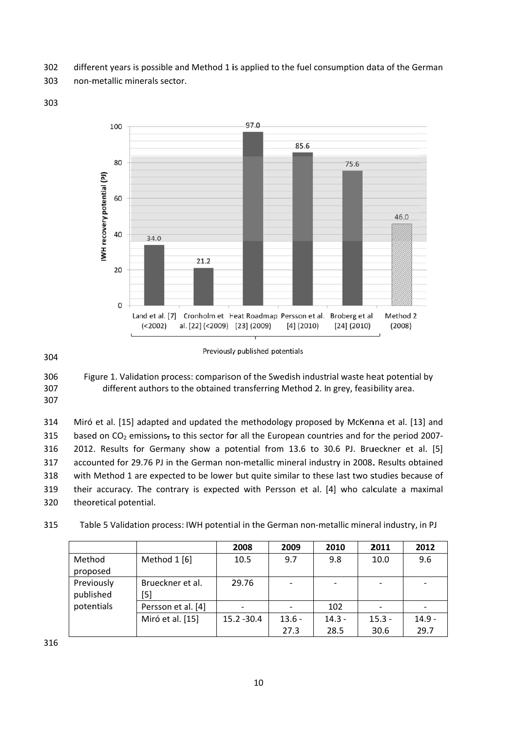302 different years is possible and Method 1 is applied to the fuel consumption data of the German

303 non-metallic minerals sector.

303



304

306 Figure 1. Validation process: comparison of the Swedish industrial waste heat potential by 307 different authors to the obtained transferring Method 2. In grey, feasibility area. 307

314 Miró et al. [15] adapted and updated the methodology proposed by McKenna et al. [13] and based on  $CO<sub>2</sub>$  emissions, to this sector for all the European countries and for the period 2007-315 316 2012. Results for Germany show a potential from 13.6 to 30.6 PJ. Brueckner et al. [5] 317 accounted for 29.76 PJ in the German non-metallic mineral industry in 2008. Results obtained with Method 1 are expected to be lower but quite similar to these last two studies because of 318 319 their accuracy. The contrary is expected with Persson et al. [4] who calculate a maximal 320 theoretical potential.

315 Table 5 Validation process: IWH potential in the German non-metallic mineral industry, in PJ

|            |                    | 2008          | 2009     | 2010     | 2011     | 2012     |
|------------|--------------------|---------------|----------|----------|----------|----------|
| Method     | Method 1 [6]       | 10.5          | 9.7      | 9.8      | 10.0     | 9.6      |
| proposed   |                    |               |          |          |          |          |
| Previously | Brueckner et al.   | 29.76         |          |          |          |          |
| published  | [5]                |               |          |          |          |          |
| potentials | Persson et al. [4] |               |          | 102      |          |          |
|            | Miró et al. [15]   | $15.2 - 30.4$ | $13.6 -$ | $14.3 -$ | $15.3 -$ | $14.9 -$ |
|            |                    |               | 27.3     | 28.5     | 30.6     | 29.7     |

Previously published potentials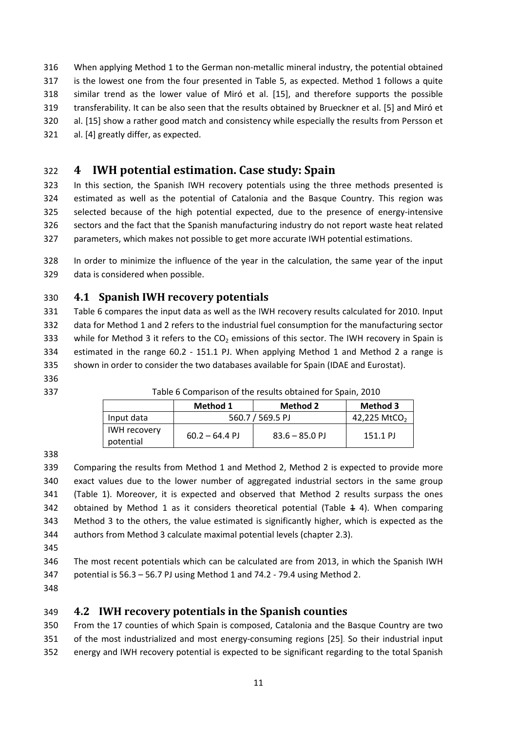When applying Method 1 to the German non‐metallic mineral industry, the potential obtained is the lowest one from the four presented in Table 5, as expected. Method 1 follows a quite similar trend as the lower value of Miró et al. [15], and therefore supports the possible transferability. It can be also seen that the results obtained by Brueckner et al. [5] and Miró et al. [15] show a rather good match and consistency while especially the results from Persson et al. [4] greatly differ, as expected.

## **4 IWH potential estimation. Case study: Spain**

 In this section, the Spanish IWH recovery potentials using the three methods presented is estimated as well as the potential of Catalonia and the Basque Country. This region was selected because of the high potential expected, due to the presence of energy‐intensive sectors and the fact that the Spanish manufacturing industry do not report waste heat related parameters, which makes not possible to get more accurate IWH potential estimations.

 In order to minimize the influence of the year in the calculation, the same year of the input data is considered when possible.

## **4.1 Spanish IWH recovery potentials**

 Table 6 compares the input data as well as the IWH recovery results calculated for 2010. Input data for Method 1 and 2 refers to the industrial fuel consumption for the manufacturing sector 333 while for Method 3 it refers to the  $CO<sub>2</sub>$  emissions of this sector. The IWH recovery in Spain is 334 estimated in the range 60.2 - 151.1 PJ. When applying Method 1 and Method 2 a range is shown in order to consider the two databases available for Spain (IDAE and Eurostat).

Table 6 Comparison of the results obtained for Spain, 2010

|                                  | Method 1         | Method 2         | Method 3                 |
|----------------------------------|------------------|------------------|--------------------------|
| Input data                       | 560.7 / 569.5 PJ |                  | 42,225 MtCO <sub>2</sub> |
| <b>IWH recovery</b><br>potential | $60.2 - 64.4$ PJ | $83.6 - 85.0$ PJ | 151.1 PJ                 |

 Comparing the results from Method 1 and Method 2, Method 2 is expected to provide more exact values due to the lower number of aggregated industrial sectors in the same group (Table 1). Moreover, it is expected and observed that Method 2 results surpass the ones 342 obtained by Method 1 as it considers theoretical potential (Table 4 4). When comparing Method 3 to the others, the value estimated is significantly higher, which is expected as the authors from Method 3 calculate maximal potential levels (chapter 2.3).

 The most recent potentials which can be calculated are from 2013, in which the Spanish IWH potential is 56.3 – 56.7 PJ using Method 1 and 74.2 ‐ 79.4 using Method 2.

## **4.2 IWH recovery potentials in the Spanish counties**

 From the 17 counties of which Spain is composed, Catalonia and the Basque Country are two 351 of the most industrialized and most energy-consuming regions [25]. So their industrial input energy and IWH recovery potential is expected to be significant regarding to the total Spanish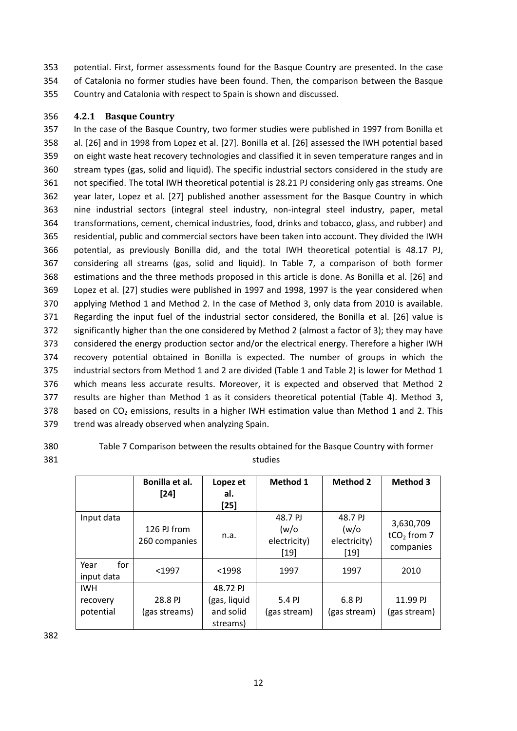353 potential. First, former assessments found for the Basque Country are presented. In the case 354 of Catalonia no former studies have been found. Then, the comparison between the Basque 355 Country and Catalonia with respect to Spain is shown and discussed.

#### 356 **4.2.1 Basque Country**

 In the case of the Basque Country, two former studies were published in 1997 from Bonilla et al. [26] and in 1998 from Lopez et al. [27]. Bonilla et al. [26] assessed the IWH potential based on eight waste heat recovery technologies and classified it in seven temperature ranges and in stream types (gas, solid and liquid). The specific industrial sectors considered in the study are not specified. The total IWH theoretical potential is 28.21 PJ considering only gas streams. One year later, Lopez et al. [27] published another assessment for the Basque Country in which nine industrial sectors (integral steel industry, non‐integral steel industry, paper, metal transformations, cement, chemical industries, food, drinks and tobacco, glass, and rubber) and residential, public and commercial sectors have been taken into account. They divided the IWH potential, as previously Bonilla did, and the total IWH theoretical potential is 48.17 PJ, considering all streams (gas, solid and liquid). In Table 7, a comparison of both former estimations and the three methods proposed in this article is done. As Bonilla et al. [26] and Lopez et al. [27] studies were published in 1997 and 1998, 1997 is the year considered when applying Method 1 and Method 2. In the case of Method 3, only data from 2010 is available. Regarding the input fuel of the industrial sector considered, the Bonilla et al. [26] value is significantly higher than the one considered by Method 2 (almost a factor of 3); they may have considered the energy production sector and/or the electrical energy. Therefore a higher IWH recovery potential obtained in Bonilla is expected. The number of groups in which the industrial sectors from Method 1 and 2 are divided (Table 1 and Table 2) is lower for Method 1 which means less accurate results. Moreover, it is expected and observed that Method 2 results are higher than Method 1 as it considers theoretical potential (Table 4). Method 3, 378 based on  $CO<sub>2</sub>$  emissions, results in a higher IWH estimation value than Method 1 and 2. This trend was already observed when analyzing Spain.

380 Table 7 Comparison between the results obtained for the Basque Country with former 381 studies

|                                     | Bonilla et al.<br>$[24]$     | Lopez et<br>al.<br>$[25]$                         | Method 1                                | <b>Method 2</b>                          | <b>Method 3</b>                                     |
|-------------------------------------|------------------------------|---------------------------------------------------|-----------------------------------------|------------------------------------------|-----------------------------------------------------|
| Input data                          | 126 PJ from<br>260 companies | n.a.                                              | 48.7 PJ<br>(w/o<br>electricity)<br>[19] | 48.7 PJ<br>(w/o)<br>electricity)<br>[19] | 3,630,709<br>tCO <sub>2</sub> from $7$<br>companies |
| for<br>Year<br>input data           | $1997$                       | $1998$                                            | 1997                                    | 1997                                     | 2010                                                |
| <b>IWH</b><br>recovery<br>potential | 28.8 PJ<br>(gas streams)     | 48.72 PJ<br>(gas, liquid<br>and solid<br>streams) | 5.4 PJ<br>(gas stream)                  | 6.8 PJ<br>(gas stream)                   | 11.99 PJ<br>(gas stream)                            |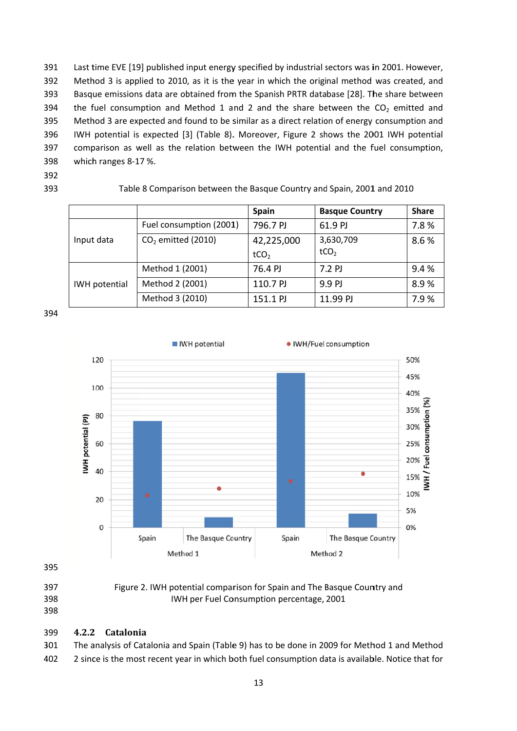391 Last time EVE [19] published input energy specified by industrial sectors was in 2001. However, 392 Method 3 is applied to 2010, as it is the year in which the original method was created, and 393 Basque emissions data are obtained from the Spanish PRTR database [28]. The share between 394 the fuel consumption and Method 1 and 2 and the share between the  $CO<sub>2</sub>$  emitted and 395 Method 3 are expected and found to be similar as a direct relation of energy consumption and 396 IWH potential is expected [3] (Table 8). Moreover, Figure 2 shows the 2001 IWH potential 397 comparison as well as the relation between the IWH potential and the fuel consumption, 398 which ranges 8-17 %.

- 392
- 393

#### Table 8 Comparison between the Basque Country and Spain, 2001 and 2010

|                      |                         | <b>Spain</b>     | <b>Basque Country</b> | <b>Share</b> |
|----------------------|-------------------------|------------------|-----------------------|--------------|
| Input data           | Fuel consumption (2001) | 796.7 PJ         | 61.9 PJ               | 7.8%         |
|                      | $CO2$ emitted (2010)    | 42,225,000       | 3,630,709             | 8.6%         |
|                      |                         | tCO <sub>2</sub> | tCO <sub>2</sub>      |              |
|                      | Method 1 (2001)         | 76.4 PJ          | 7.2 PJ                | 9.4%         |
| <b>IWH</b> potential | Method 2 (2001)         | 110.7 PJ         | 9.9 PJ                | 8.9%         |
|                      | Method 3 (2010)         | 151.1 PJ         | 11.99 PJ              | 7.9%         |

394



395

397 398

Figure 2. IWH potential comparison for Spain and The Basque Country and IWH per Fuel Consumption percentage, 2001

#### 398

#### 399 4.2.2 Catalonia

301 The analysis of Catalonia and Spain (Table 9) has to be done in 2009 for Method 1 and Method 402 2 since is the most recent year in which both fuel consumption data is available. Notice that for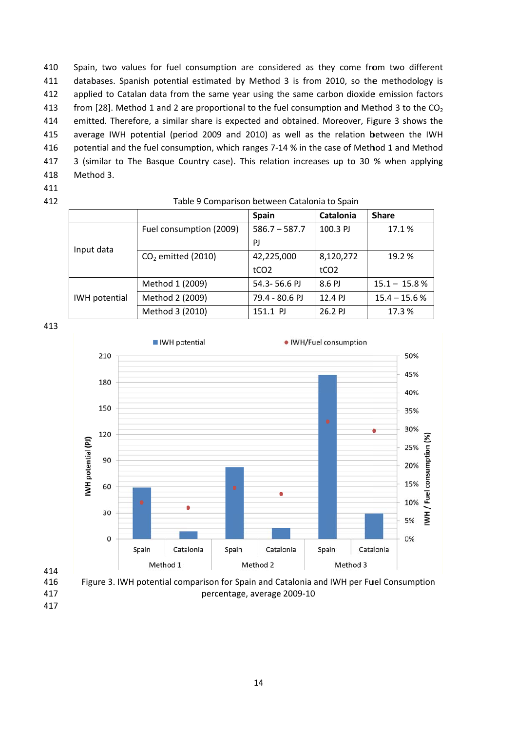410 Spain, two values for fuel consumption are considered as they come from two different 411 databases. Spanish potential estimated by Method 3 is from 2010, so the methodology is 412 applied to Catalan data from the same year using the same carbon dioxide emission factors 413 from [28]. Method 1 and 2 are proportional to the fuel consumption and Method 3 to the CO<sub>2</sub> 414 emitted. Therefore, a similar share is expected and obtained. Moreover, Figure 3 shows the average IWH potential (period 2009 and 2010) as well as the relation between the IWH 415 416 potential and the fuel consumption, which ranges 7-14 % in the case of Method 1 and Method 3 (similar to The Basque Country case). This relation increases up to 30 % when applying 417 418 Method 3.

- 411
- 412

#### Table 9 Comparison between Catalonia to Spain

|                      |                                | <b>Spain</b>     | Catalonia        | <b>Share</b>    |
|----------------------|--------------------------------|------------------|------------------|-----------------|
|                      | Fuel consumption (2009)        | $586.7 - 587.7$  | 100.3 PJ         | 17.1%           |
| Input data           |                                | <b>PJ</b>        |                  |                 |
|                      | CO <sub>2</sub> emitted (2010) | 42,225,000       | 8,120,272        | 19.2 %          |
|                      |                                | tCO <sub>2</sub> | tCO <sub>2</sub> |                 |
|                      | Method 1 (2009)                | 54.3-56.6 PJ     | 8.6 PJ           | $15.1 - 15.8 %$ |
| <b>IWH</b> potential | Method 2 (2009)                | 79.4 - 80.6 PJ   | 12.4 PJ          | $15.4 - 15.6 %$ |
|                      | Method 3 (2010)                | 151.1 PJ         | 26.2 PJ          | 17.3 %          |

413



417 417 percentage, average 2009-10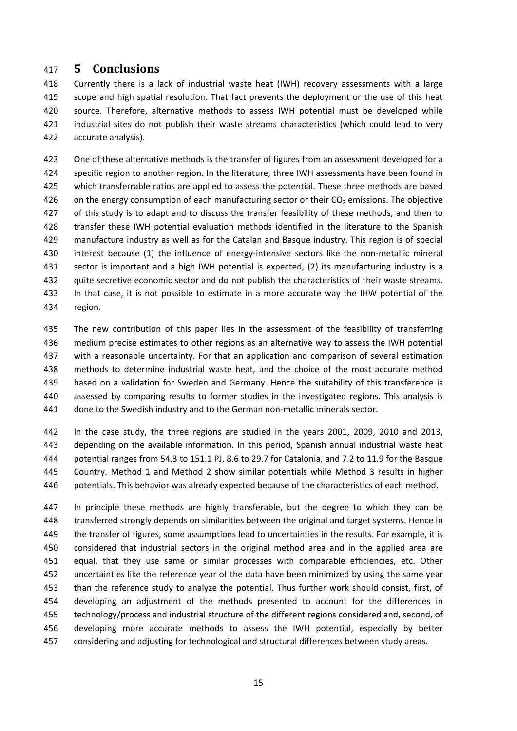## **5 Conclusions**

 Currently there is a lack of industrial waste heat (IWH) recovery assessments with a large scope and high spatial resolution. That fact prevents the deployment or the use of this heat source. Therefore, alternative methods to assess IWH potential must be developed while 421 industrial sites do not publish their waste streams characteristics (which could lead to very accurate analysis).

 One of these alternative methods is the transfer of figures from an assessment developed for a specific region to another region. In the literature, three IWH assessments have been found in which transferrable ratios are applied to assess the potential. These three methods are based 426 on the energy consumption of each manufacturing sector or their  $CO<sub>2</sub>$  emissions. The objective 427 of this study is to adapt and to discuss the transfer feasibility of these methods, and then to transfer these IWH potential evaluation methods identified in the literature to the Spanish manufacture industry as well as for the Catalan and Basque industry. This region is of special 430 interest because (1) the influence of energy-intensive sectors like the non-metallic mineral 431 sector is important and a high IWH potential is expected, (2) its manufacturing industry is a quite secretive economic sector and do not publish the characteristics of their waste streams. In that case, it is not possible to estimate in a more accurate way the IHW potential of the region.

 The new contribution of this paper lies in the assessment of the feasibility of transferring medium precise estimates to other regions as an alternative way to assess the IWH potential with a reasonable uncertainty. For that an application and comparison of several estimation methods to determine industrial waste heat, and the choice of the most accurate method 439 based on a validation for Sweden and Germany. Hence the suitability of this transference is assessed by comparing results to former studies in the investigated regions. This analysis is 441 done to the Swedish industry and to the German non-metallic minerals sector.

 In the case study, the three regions are studied in the years 2001, 2009, 2010 and 2013, depending on the available information. In this period, Spanish annual industrial waste heat potential ranges from 54.3 to 151.1 PJ, 8.6 to 29.7 for Catalonia, and 7.2 to 11.9 for the Basque Country. Method 1 and Method 2 show similar potentials while Method 3 results in higher potentials. This behavior was already expected because of the characteristics of each method.

 In principle these methods are highly transferable, but the degree to which they can be transferred strongly depends on similarities between the original and target systems. Hence in the transfer of figures, some assumptions lead to uncertainties in the results. For example, it is considered that industrial sectors in the original method area and in the applied area are equal, that they use same or similar processes with comparable efficiencies, etc. Other uncertainties like the reference year of the data have been minimized by using the same year than the reference study to analyze the potential. Thus further work should consist, first, of developing an adjustment of the methods presented to account for the differences in technology/process and industrial structure of the different regions considered and, second, of developing more accurate methods to assess the IWH potential, especially by better considering and adjusting for technological and structural differences between study areas.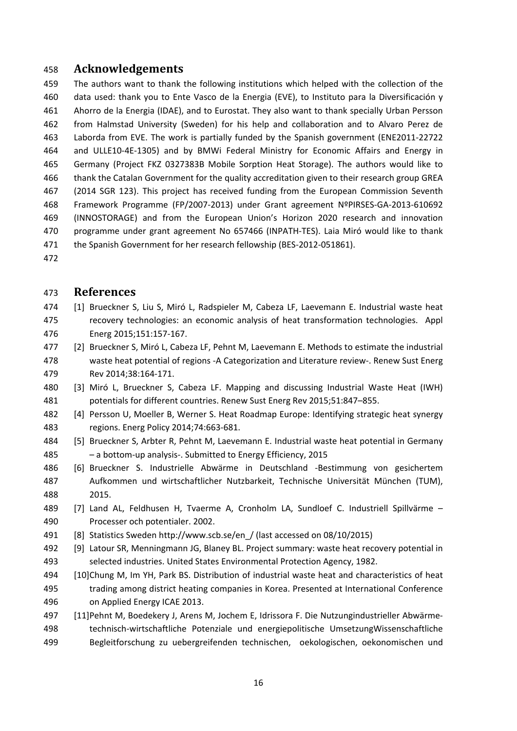## **Acknowledgements**

 The authors want to thank the following institutions which helped with the collection of the data used: thank you to Ente Vasco de la Energia (EVE), to Instituto para la Diversificación y Ahorro de la Energia (IDAE), and to Eurostat. They also want to thank specially Urban Persson from Halmstad University (Sweden) for his help and collaboration and to Alvaro Perez de Laborda from EVE. The work is partially funded by the Spanish government (ENE2011‐22722 and ULLE10‐4E‐1305) and by BMWi Federal Ministry for Economic Affairs and Energy in Germany (Project FKZ 0327383B Mobile Sorption Heat Storage). The authors would like to thank the Catalan Government for the quality accreditation given to their research group GREA (2014 SGR 123). This project has received funding from the European Commission Seventh Framework Programme (FP/2007‐2013) under Grant agreement NºPIRSES‐GA‐2013‐610692 (INNOSTORAGE) and from the European Union's Horizon 2020 research and innovation programme under grant agreement No 657466 (INPATH‐TES). Laia Miró would like to thank 471 the Spanish Government for her research fellowship (BES-2012-051861).

#### **References**

- [1] Brueckner S, Liu S, Miró L, Radspieler M, Cabeza LF, Laevemann E. Industrial waste heat recovery technologies: an economic analysis of heat transformation technologies. Appl Energ 2015;151:157‐167.
- [2] Brueckner S, Miró L, Cabeza LF, Pehnt M, Laevemann E. Methods to estimate the industrial waste heat potential of regions ‐A Categorization and Literature review‐. Renew Sust Energ Rev 2014;38:164‐171.
- [3] Miró L, Brueckner S, Cabeza LF. Mapping and discussing Industrial Waste Heat (IWH) potentials for different countries. Renew Sust Energ Rev 2015;51:847–855.
- 482 [4] Persson U, Moeller B, Werner S. Heat Roadmap Europe: Identifying strategic heat synergy regions. Energ Policy 2014;74:663‐681.
- [5] Brueckner S, Arbter R, Pehnt M, Laevemann E. Industrial waste heat potential in Germany – a bottom‐up analysis‐. Submitted to Energy Efficiency, 2015
- [6] Brueckner S. Industrielle Abwärme in Deutschland ‐Bestimmung von gesichertem Aufkommen und wirtschaftlicher Nutzbarkeit, Technische Universität München (TUM), 2015.
- [7] Land AL, Feldhusen H, Tvaerme A, Cronholm LA, Sundloef C. Industriell Spillvärme Processer och potentialer. 2002.
- [8] Statistics Sweden http://www.scb.se/en\_/ (last accessed on 08/10/2015)
- [9] Latour SR, Menningmann JG, Blaney BL. Project summary: waste heat recovery potential in selected industries. United States Environmental Protection Agency, 1982.
- [10]Chung M, Im YH, Park BS. Distribution of industrial waste heat and characteristics of heat trading among district heating companies in Korea. Presented at International Conference on Applied Energy ICAE 2013.
- [11]Pehnt M, Boedekery J, Arens M, Jochem E, Idrissora F. Die Nutzungindustrieller Abwärme‐ technisch‐wirtschaftliche Potenziale und energiepolitische UmsetzungWissenschaftliche Begleitforschung zu uebergreifenden technischen, oekologischen, oekonomischen und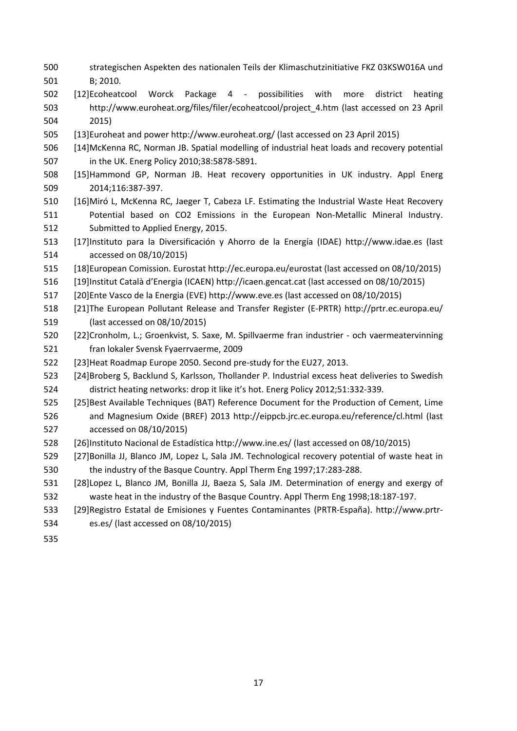- strategischen Aspekten des nationalen Teils der Klimaschutzinitiative FKZ 03KSW016A und B; 2010.
- [12]Ecoheatcool Worck Package 4 ‐ possibilities with more district heating http://www.euroheat.org/files/filer/ecoheatcool/project\_4.htm (last accessed on 23 April 2015)
- [13]Euroheat and power http://www.euroheat.org/ (last accessed on 23 April 2015)
- [14]McKenna RC, Norman JB. Spatial modelling of industrial heat loads and recovery potential in the UK. Energ Policy 2010;38:5878‐5891.
- [15]Hammond GP, Norman JB. Heat recovery opportunities in UK industry. Appl Energ 2014;116:387‐397.
- [16]Miró L, McKenna RC, Jaeger T, Cabeza LF. Estimating the Industrial Waste Heat Recovery 511 Potential based on CO2 Emissions in the European Non-Metallic Mineral Industry. Submitted to Applied Energy, 2015.
- [17]Instituto para la Diversificación y Ahorro de la Energía (IDAE) http://www.idae.es (last accessed on 08/10/2015)
- [18]European Comission. Eurostat http://ec.europa.eu/eurostat (last accessed on 08/10/2015)
- [19]Institut Català d'Energia (ICAEN) http://icaen.gencat.cat (last accessed on 08/10/2015)
- [20]Ente Vasco de la Energia (EVE) http://www.eve.es (last accessed on 08/10/2015)
- [21]The European Pollutant Release and Transfer Register (E‐PRTR) http://prtr.ec.europa.eu/ (last accessed on 08/10/2015)
- [22]Cronholm, L.; Groenkvist, S. Saxe, M. Spillvaerme fran industrier ‐ och vaermeatervinning fran lokaler Svensk Fyaerrvaerme, 2009
- [23]Heat Roadmap Europe 2050. Second pre‐study for the EU27, 2013.
- [24]Broberg S, Backlund S, Karlsson, Thollander P. Industrial excess heat deliveries to Swedish district heating networks: drop it like it's hot. Energ Policy 2012;51:332‐339.
- [25]Best Available Techniques (BAT) Reference Document for the Production of Cement, Lime and Magnesium Oxide (BREF) 2013 http://eippcb.jrc.ec.europa.eu/reference/cl.html (last accessed on 08/10/2015)
- [26]Instituto Nacional de Estadística http://www.ine.es/ (last accessed on 08/10/2015)
- [27]Bonilla JJ, Blanco JM, Lopez L, Sala JM. Technological recovery potential of waste heat in 530 the industry of the Basque Country. Appl Therm Eng 1997;17:283-288.
- [28]Lopez L, Blanco JM, Bonilla JJ, Baeza S, Sala JM. Determination of energy and exergy of waste heat in the industry of the Basque Country. Appl Therm Eng 1998;18:187‐197.
- [29]Registro Estatal de Emisiones y Fuentes Contaminantes (PRTR‐España). http://www.prtr‐
- es.es/ (last accessed on 08/10/2015)
-